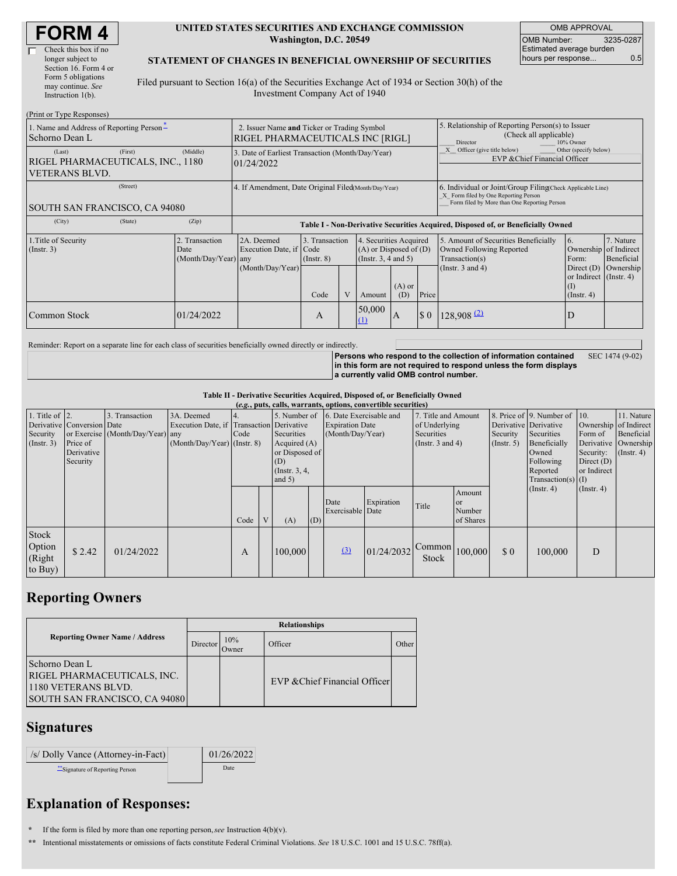| <b>FORM4</b> |  |
|--------------|--|
|--------------|--|

#### **UNITED STATES SECURITIES AND EXCHANGE COMMISSION Washington, D.C. 20549**

OMB APPROVAL OMB Number: 3235-0287 Estimated average burden hours per response... 0.5

#### **STATEMENT OF CHANGES IN BENEFICIAL OWNERSHIP OF SECURITIES**

Filed pursuant to Section 16(a) of the Securities Exchange Act of 1934 or Section 30(h) of the Investment Company Act of 1940

| (Print or Type Responses)                                                       |                                                |                                                                                  |                                           |  |                                                                                        |                 |                                                                                                                                                    |                                                                                                             |                                                                                                           |                                      |  |  |
|---------------------------------------------------------------------------------|------------------------------------------------|----------------------------------------------------------------------------------|-------------------------------------------|--|----------------------------------------------------------------------------------------|-----------------|----------------------------------------------------------------------------------------------------------------------------------------------------|-------------------------------------------------------------------------------------------------------------|-----------------------------------------------------------------------------------------------------------|--------------------------------------|--|--|
| 1. Name and Address of Reporting Person-<br>Schorno Dean L                      |                                                | 2. Issuer Name and Ticker or Trading Symbol<br>RIGEL PHARMACEUTICALS INC [RIGL]  |                                           |  |                                                                                        |                 | 5. Relationship of Reporting Person(s) to Issuer<br>(Check all applicable)<br>Director<br>10% Owner                                                |                                                                                                             |                                                                                                           |                                      |  |  |
| (First)<br>(Last)<br>RIGEL PHARMACEUTICALS, INC., 1180<br><b>VETERANS BLVD.</b> | (Middle)                                       | 3. Date of Earliest Transaction (Month/Day/Year)<br>01/24/2022                   |                                           |  |                                                                                        |                 |                                                                                                                                                    | Other (specify below)<br>Officer (give title below)<br>EVP & Chief Financial Officer                        |                                                                                                           |                                      |  |  |
| (Street)<br><b>SOUTH SAN FRANCISCO, CA 94080</b>                                |                                                | 4. If Amendment, Date Original Filed(Month/Day/Year)                             |                                           |  |                                                                                        |                 | 6. Individual or Joint/Group Filing(Check Applicable Line)<br>X Form filed by One Reporting Person<br>Form filed by More than One Reporting Person |                                                                                                             |                                                                                                           |                                      |  |  |
| (State)<br>(City)                                                               | (Zip)                                          | Table I - Non-Derivative Securities Acquired, Disposed of, or Beneficially Owned |                                           |  |                                                                                        |                 |                                                                                                                                                    |                                                                                                             |                                                                                                           |                                      |  |  |
| 1. Title of Security<br>$($ Instr. 3 $)$                                        | 2. Transaction<br>Date<br>(Month/Day/Year) any | 2A. Deemed<br>Execution Date, if Code<br>(Month/Day/Year)                        | 3. Transaction<br>$($ Instr. $8)$<br>Code |  | 4. Securities Acquired<br>$(A)$ or Disposed of $(D)$<br>(Insert. 3, 4 and 5)<br>Amount | $(A)$ or<br>(D) | Price                                                                                                                                              | 5. Amount of Securities Beneficially<br>Owned Following Reported<br>Transaction(s)<br>(Instr. $3$ and $4$ ) | 6.<br>Ownership of Indirect<br>Form:<br>Direct $(D)$<br>or Indirect (Instr. 4)<br>(1)<br>$($ Instr. 4 $)$ | 7. Nature<br>Beneficial<br>Ownership |  |  |
| <b>Common Stock</b>                                                             | 01/24/2022                                     |                                                                                  | A                                         |  | 50,000<br>$\Omega$                                                                     | ΙA.             | $\boldsymbol{\mathsf{S}}$ 0                                                                                                                        | $128,908$ <sup>(2)</sup>                                                                                    | D                                                                                                         |                                      |  |  |

Reminder: Report on a separate line for each class of securities beneficially owned directly or indirectly.

**Persons who respond to the collection of information contained in this form are not required to respond unless the form displays a currently valid OMB control number.** SEC 1474 (9-02)

**Table II - Derivative Securities Acquired, Disposed of, or Beneficially Owned**

|                                               | (e.g., puts, calls, warrants, options, convertible securities)   |                                                    |                                                                                        |      |   |                                                                                                      |     |                                                                       |            |                                                                             |                                            |                                                    |                                                                                                                      |                                                                                                                 |                          |
|-----------------------------------------------|------------------------------------------------------------------|----------------------------------------------------|----------------------------------------------------------------------------------------|------|---|------------------------------------------------------------------------------------------------------|-----|-----------------------------------------------------------------------|------------|-----------------------------------------------------------------------------|--------------------------------------------|----------------------------------------------------|----------------------------------------------------------------------------------------------------------------------|-----------------------------------------------------------------------------------------------------------------|--------------------------|
| 1. Title of $ 2$ .<br>Security<br>(Insert. 3) | Derivative Conversion Date<br>Price of<br>Derivative<br>Security | 3. Transaction<br>or Exercise (Month/Day/Year) any | 3A. Deemed<br>Execution Date, if Transaction Derivative<br>(Month/Day/Year) (Instr. 8) | Code |   | 5. Number of<br>Securities<br>Acquired $(A)$<br>or Disposed of<br>(D)<br>(Instr. $3, 4,$<br>and $5)$ |     | 6. Date Exercisable and<br><b>Expiration Date</b><br>(Month/Day/Year) |            | 7. Title and Amount<br>of Underlying<br>Securities<br>(Instr. $3$ and $4$ ) |                                            | Derivative Derivative<br>Security<br>$($ Instr. 5) | 8. Price of 9. Number of 10.<br>Securities<br>Beneficially<br>Owned<br>Following<br>Reported<br>$Transaction(s)$ (I) | Ownership of Indirect<br>Form of<br>Derivative Ownership<br>Security: (Instr. 4)<br>Direct $(D)$<br>or Indirect | 11. Nature<br>Beneficial |
|                                               |                                                                  |                                                    |                                                                                        | Code | V | (A)                                                                                                  | (D) | Date<br>Exercisable Date                                              | Expiration | Title                                                                       | Amount<br><b>or</b><br>Number<br>of Shares |                                                    | $($ Instr. 4 $)$                                                                                                     | $($ Instr. 4 $)$                                                                                                |                          |
| Stock<br>Option<br>(Right<br>to Buy)          | \$2.42                                                           | 01/24/2022                                         |                                                                                        | А    |   | 100,000                                                                                              |     | (3)                                                                   | 01/24/2032 | Common<br>Stock                                                             | 100,000                                    | \$0                                                | 100,000                                                                                                              | D                                                                                                               |                          |

# **Reporting Owners**

|                                                                                                       | <b>Relationships</b> |              |                               |       |  |  |  |  |  |
|-------------------------------------------------------------------------------------------------------|----------------------|--------------|-------------------------------|-------|--|--|--|--|--|
| <b>Reporting Owner Name / Address</b>                                                                 | Director             | 10%<br>Owner | Officer                       | Other |  |  |  |  |  |
| Schorno Dean L<br>RIGEL PHARMACEUTICALS, INC.<br>1180 VETERANS BLVD.<br>SOUTH SAN FRANCISCO, CA 94080 |                      |              | EVP & Chief Financial Officer |       |  |  |  |  |  |

### **Signatures**

| /s/ Dolly Vance (Attorney-in-Fact) | 01/26/2022 |
|------------------------------------|------------|
| ** Signature of Reporting Person   | Date       |

## **Explanation of Responses:**

**\*** If the form is filed by more than one reporting person,*see* Instruction 4(b)(v).

**\*\*** Intentional misstatements or omissions of facts constitute Federal Criminal Violations. *See* 18 U.S.C. 1001 and 15 U.S.C. 78ff(a).